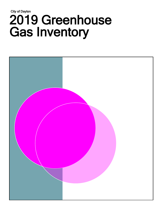# City of Dayton 2019 Greenhouse Gas Inventory

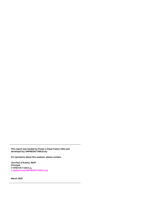**This report was funded by Power a Clean Future Ohio and developed by UNPREDICTABLEcity.**

**For questions about this analysis, please contact:**

**Jon-Paul d'Aversa, AICP Principal UNPREDICTABLEcity e[: jpdaversa@UNPREDICTABLE.city](mailto:jpdaversa@unpredictable.city)**

**March 2022**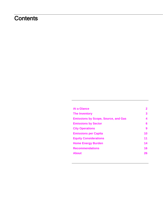# **Contents**

| At a Glance                                | 2  |
|--------------------------------------------|----|
| <b>The Inventory</b>                       | 3  |
| <b>Emissions by Scope, Source, and Gas</b> | 4  |
| <b>Emissions by Sector</b>                 | 6  |
| <b>City Operations</b>                     | 9  |
| <b>Emissions per Capita</b>                | 10 |
| <b>Equity Considerations</b>               | 11 |
| <b>Home Energy Burden</b>                  | 14 |
| <b>Recommendations</b>                     | 16 |
| <b>About</b>                               | 26 |
|                                            |    |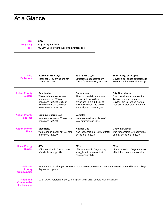# <span id="page-3-0"></span>At a Glance

**Year 2019**

**Geography City of Dayton, Ohio**

| Tool                                     | US EPA Local Greenhouse Gas Inventory Tool                                                                                                                    |                                                                                                                                                             |                                                                                                                                                        |
|------------------------------------------|---------------------------------------------------------------------------------------------------------------------------------------------------------------|-------------------------------------------------------------------------------------------------------------------------------------------------------------|--------------------------------------------------------------------------------------------------------------------------------------------------------|
| <b>GHG</b><br><b>Emissions</b>           | 2,119,544 MT CO <sub>2</sub> e<br>Total net GHG emissions for<br>Dayton in 2019                                                                               | 29,075 MT CO <sub>2</sub> e<br>Emissions sequestered by<br>Dayton's tree canopy in 2019                                                                     | 15 MT CO <sub>2</sub> e per Capita<br>Dayton's per capita emissions is<br>lower than the national average                                              |
| <b>Action Priority</b><br><b>Sectors</b> | <b>Residential</b><br>The residential sector was<br>responsible for 32% of<br>emissions in 2019, 36% of<br>which were from personal<br>transportation sources | Commercial<br>The commercial sector was<br>responsible for 44% of<br>emissions in 2019, 51% of<br>which were from the use of<br>electricity and natural gas | <b>City Operations</b><br>City operations accounted for<br>14% of total emissions for<br>Dayton, 49% of which were a<br>result of wastewater treatment |
| <b>Action Priority</b><br><b>Sources</b> | <b>Building Energy Use</b><br>was responsible for 67% of total<br>emissions in 2019                                                                           | <b>Vehicles</b><br>were responsible for 24% of<br>total emissions in 2019                                                                                   |                                                                                                                                                        |
| <b>Action Priority</b><br><b>Fuels</b>   | <b>Electricity</b><br>was responsible for 45% of total<br>emissions in 2019                                                                                   | <b>Natural Gas</b><br>was responsible for 22% of total<br>emissions in 2019                                                                                 | <b>Gasoline/Diesel</b><br>was responsible for nearly 24%<br>of total emissions in 2019                                                                 |
| <b>Home Energy</b><br>Burden             | 40%<br>of households in Dayton have<br>affordable energy bills                                                                                                | 27%<br>of households in Dayton may<br>struggle with some of their<br>home energy bills                                                                      | 33%<br>of households in Dayton cannot<br>afford their home energy bills                                                                                |
| <b>Inclusion</b><br><b>Priority</b>      | degree and vouth                                                                                                                                              | Women, those belonging to BIPOC communities, the un- and underemployed, those without a college                                                             |                                                                                                                                                        |

**Priority Communities**

degree, and yout

**Additional Communities for Inclusion** LGBTQIA+, veterans, elderly, immigrant and FLNE, people with disabilities.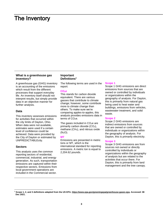## <span id="page-4-0"></span>The Inventory

#### **What is a greenhouse gas inventory?**

A greenhouse gas (GHG) inventory is an accounting of the emissions which result from the different processes that support everyday life. An inventory itself should not interpret results, but simply provide data in an objective manner for further analysis.

#### **Data**

This inventory assesses emissions for activities that occurred within the city limits of Dayton, Ohio. When data were not available, estimates were used if a certain level of confidence could be achieved. Data were provided by the City of Dayton or estimated by UNPREDICTABLEcity.

#### **Sectors**

This analysis uses the common reporting sectors of residential, commercial, industrial, and energy generation. As such, transportation emissions are captured within their respective sectors. Emissions from local government operations are included in the Commercial sector.

#### **Important Definitions<sup>1</sup>**

The following terms are used in the report:

#### **CO2e**

This stands for carbon dioxide equivalent. There are various gasses that contribute to climate change; however, some contribute more to climate change than others. To make sure we're comparing apples-to-apples, this analysis provides emissions data in terms of  $CO<sub>2</sub>e$ .

The gases included in  $CO<sub>2</sub>e$  are primarily carbon dioxide  $(CO<sub>2</sub>)$ , methane (CH4), and nitrous oxide  $(N<sub>2</sub>O)$ .

#### **MT**

Emissions are presented in metric tons or MT, which is the international standard for reporting emissions. A metric ton is equal to 2,204.62 pounds.

#### **Scope 1**

Scope 1 GHG emissions are direct emissions from sources that are owned or controlled by individuals or organizations within the geography of analysis. For Dayton, this is primarily from natural gas being used to heat water and buildings, emissions from vehicles, wastewater treatment, and solid waste.

#### **Scope 2**

Scope 2 GHG emissions are indirect emissions from sources that are owned or controlled by individuals or organizations within the geography of analysis. For Dayton, this is primarily electricity.

#### **Scope 3**

Scope 3 GHG emissions are from sources not owned or directly controlled by individuals or organizations within the geography of analysis but are related to the activities that occur there. For Dayton, this is primarily from land management and the tree canopy.

**<sup>1</sup> Scope 1, 2, and 3 definitions adapted from the US EPA. [https://www.epa.gov/greeningepa/greenhouse-gases-epa.](https://www.epa.gov/greeningepa/greenhouse-gases-epa) Accessed: 08 Dec 2021.**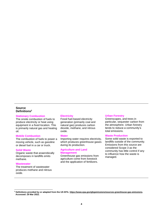#### <span id="page-5-0"></span>**Source Definitions<sup>2</sup>**

#### **Stationary Combustion**

The onsite combustion of fuels to produce electricity or heat using equipment in a fixed location. This is primarily natural gas and heating oil.

#### **Mobile Combustion**

The combustion of fuels to power a moving vehicle, such as gasoline or diesel fuel in a car or truck.

#### **Solid Waste**

Organic waste that anaerobically decomposes in landfills emits methane.

#### **Wastewater**

The treatment of wastewater produces methane and nitrous oxide.

#### **Electricity**

Fossil fuel-based electricity generation (primarily coal and natural gas) produces carbon dioxide, methane, and nitrous oxide.

#### **Water**

Importing water requires electricity, which produces greenhouse gases during its production.

#### **Agriculture and Land Management**

Greenhouse gas emissions from agriculture come from livestock and the application of fertilizers.

#### **Urban Forestry**

Greenscapes, and trees in particular, sequester carbon from the atmosphere. Urban forestry tends to reduce a community's total emissions.

#### **Waste Production**

Some solid waste is exported to landfills outside of the community. Emissions from this source are considered Scope 3 as the community has little control if any to influence how the waste is managed.

**<sup>2</sup> Definitions provided by or adapted from the US EPA[. https://www.epa.gov/ghgemissions/sources-greenhouse-gas-emissions.](https://www.epa.gov/ghgemissions/sources-greenhouse-gas-emissions) Accessed: 29 Mar 2022.**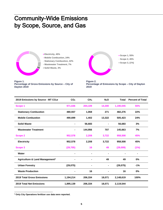# Community-Wide Emissions by Scope, Source, and Gas

**Electricity, 45%**

- **Mobile Combustion, 24%**
- **Stationary Combustion, 22%**
- **Wastewater Treatment, 7%**
- **Solid Waste, 3%**





**Figure 2. Percentage of Emissions by Scope – City of Dayton 2019**

| 2019 Emissions by Source - MT CO <sub>2</sub> e | CO <sub>2</sub> | CH <sub>4</sub> | N <sub>2</sub> O | <b>Total</b> | <b>Percent of Total</b> |
|-------------------------------------------------|-----------------|-----------------|------------------|--------------|-------------------------|
| Scope 1                                         | 971,636         | 204,109         | 14,300           | 1,190,045    | 55%                     |
| <b>Stationary Combustion</b>                    | 480,937         | 1,068           | 271              | 482,276      | 22%                     |
| <b>Mobile Combustion</b>                        | 490,699         | 1,402           | 13,322           | 505,423      | 24%                     |
| <b>Solid Waste</b>                              |                 | 56,683          |                  | 56,683       | 3%                      |
| <b>Wastewater Treatment</b>                     |                 | 144,956         | 707              | 145,663      | 7%                      |
| <b>Scope 2</b>                                  | 952,578         | 2,208           | 3,722            | 958,508      | 45%                     |
| <b>Electricity</b>                              | 952,578         | 2,208           | 3,722            | 958,508      | 45%                     |
| Scope 3                                         | (29, 705)       | 16              | 49               | (29,009)     | (1%)                    |
| Water                                           |                 |                 |                  |              |                         |
| Agriculture & Land Management <sup>3</sup>      |                 |                 | 49               | 49           | 0%                      |
| <b>Urban Forestry</b>                           | (29, 075)       |                 | ۰                | (29, 075)    | $-1%$                   |
| <b>Waste Production</b>                         |                 | 16              |                  | 16           | 0%                      |
| <b>2019 Total Gross Emissions</b>               | 1,194,214       | 206,334         | 18,071           | 2,148,619    | 100%                    |
| 2019 Total Net Emissions                        | 1,895,139       | 206,334         | 18,071           | 2,119,544    |                         |

**<sup>3</sup> Only City Operations fertilizer use data were reported.**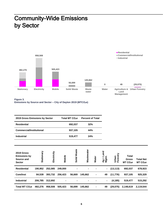# <span id="page-7-0"></span>Community-Wide Emissions by Sector



**Figure 3. Emissions by Source and Sector – City of Dayton 2019 (MTCO2e)**

| 2019 Gross Emissions by Sector                                   |            |             |         | Total MT CO <sub>2</sub> e | <b>Percent of Total</b> |              |                    |                   |                                                      |                                          |
|------------------------------------------------------------------|------------|-------------|---------|----------------------------|-------------------------|--------------|--------------------|-------------------|------------------------------------------------------|------------------------------------------|
| <b>Residential</b>                                               |            |             |         | 692,037                    | 32%                     |              |                    |                   |                                                      |                                          |
| <b>Commercial/Institutional</b>                                  |            |             |         | 937,105                    | 44%                     |              |                    |                   |                                                      |                                          |
| <b>Industrial</b>                                                |            |             |         | 519,477                    | 24%                     |              |                    |                   |                                                      |                                          |
|                                                                  |            |             |         |                            |                         |              |                    |                   |                                                      |                                          |
| 2019 Gross<br><b>Emissions by</b><br>Source and<br><b>Sector</b> | Stationary | Electricity | Mobile  | Solid Waste                | Wastewater              | <b>Water</b> | Ag + Land<br>Mgmt. | Urban<br>Forestry | <b>Total</b><br><b>Gross</b><br>MT CO <sub>2</sub> e | <b>Total Net</b><br>MT CO <sub>2</sub> e |
| <b>Residential</b>                                               | 190,952    | 252,085     | 249,000 |                            |                         |              | $\blacksquare$     | (13, 113)         | 692,037                                              | 678,923                                  |
| <b>Com/Inst</b>                                                  | 84,539     | 393,732     | 256,423 | 56,669                     | 145,662                 |              | 49                 | (11, 776)         | 937,105                                              | 925,329                                  |
| <b>Industrial</b>                                                | 206,785    | 312,692     |         |                            |                         |              |                    | (4, 185)          | 519,477                                              | 515,292                                  |
| Total MT CO <sub>2</sub> e                                       | 482,276    | 958,508     | 505,423 | 56,699                     | 145,662                 | ۰            | 49                 | (29, 075)         | 2,148,619                                            | 2,119,544                                |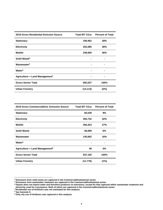| 2019 Gross Residential Emission Source | Total MT CO <sub>2</sub> e | <b>Percent of Total</b> |
|----------------------------------------|----------------------------|-------------------------|
| <b>Stationary</b>                      | 190,952                    | 28%                     |
| <b>Electricity</b>                     | 252,085                    | 36%                     |
| <b>Mobile</b>                          | 249,000                    | 36%                     |
| Solid Waste <sup>4</sup>               |                            |                         |
| Wastewater <sup>5</sup>                |                            |                         |
| Water <sup>6</sup>                     |                            | ۰                       |
| Agriculture + Land Management7         |                            |                         |
| <b>Gross Sector Total</b>              | 692,037                    | 100%                    |
| <b>Urban Forestry</b>                  | (13, 113)                  | (2%)                    |

| 2019 Gross Commercial/Inst. Emission Source | Total MT CO <sub>2</sub> e | <b>Percent of Total</b> |
|---------------------------------------------|----------------------------|-------------------------|
| <b>Stationary</b>                           | 84,539                     | 9%                      |
| <b>Electricity</b>                          | 393,732                    | 42%                     |
| <b>Mobile</b>                               | 256,423                    | 27%                     |
| <b>Solid Waste</b>                          | 56,699                     | 6%                      |
| Wastewater                                  | 145,662                    | 16%                     |
| Water <sup>8</sup>                          |                            | $\blacksquare$          |
| Agriculture + Land Management <sup>9</sup>  | 49                         | $0\%$                   |
| <b>Gross Sector Total</b>                   | 937,105                    | 100%                    |
| <b>Urban Forestry</b>                       | (11, 776)                  | (1%)                    |

**<sup>4</sup> Emissions from solid waste are captured in the Commercial/Institutional sector.** 

**<sup>5</sup> Emissions from wastewater treatment are captured in the Commercial/Institutional sector.** 

**<sup>6</sup> Dayton does not import water and therefore produces no emissions, except for that captured within wastewater treatment and electricity used for conveyance. Both of which are captured in the Commercial/Institutional sector.** 

**<sup>7</sup> Residential use of fertilizers was not estimated for this analysis.**

**<sup>8</sup> See footnote 5.**

**<sup>9</sup> Only city use of fertilizers was captured in this analysis.**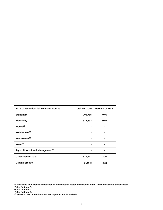| <b>2019 Gross Industrial Emission Source</b> | Total MT CO2e | <b>Percent of Total</b> |
|----------------------------------------------|---------------|-------------------------|
| <b>Stationary</b>                            | 206,785       | 40%                     |
| <b>Electricity</b>                           | 312,692       | 60%                     |
| $M$ obile $10$                               |               | $\blacksquare$          |
| Solid Waste <sup>11</sup>                    |               | $\blacksquare$          |
| Wastewater <sup>12</sup>                     |               |                         |
| Water <sup>13</sup>                          |               | -                       |
| Agriculture + Land Management <sup>14</sup>  |               |                         |
| <b>Gross Sector Total</b>                    | 519,477       | 100%                    |
| <b>Urban Forestry</b>                        | (4, 185)      | (1%)                    |

**<sup>12</sup> See footnote 4.**

**<sup>10</sup> Emissions from mobile combustion in the Industrial sector are included in the Commercial/Institutional sector.** 

**<sup>11</sup> See footnote 3.** 

**<sup>13</sup> See footnote 5.** 

**<sup>14</sup> Industrial use of fertilizers was not captured in this analysis.**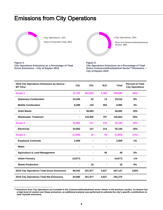# <span id="page-10-0"></span>Emissions from City Operations



**Figure 4.** 

**City Operations, 14%**

**City Operations Emissions as a Percentage of Total** 

**Gross Emissions – City of Dayton 2019**

**Rest of Citywide Total, 86%**



#### **Figure 5.**

**City Operations Emissions as a Percentage of Total Gross Commercial/Institutional Sector<sup>15</sup> Emissions – City of Dayton 2019**

| 2019 City Operations Emissions by Source -<br>MT CO <sub>2</sub> e | CO <sub>2</sub> | CH <sub>4</sub> | N <sub>2</sub> O | <b>Total</b> | <b>Percent of Total</b><br><b>City Operations</b> |
|--------------------------------------------------------------------|-----------------|-----------------|------------------|--------------|---------------------------------------------------|
| Scope 1                                                            | 31,733          | 201,833         | 5,364            | 238,930      | 80%                                               |
| <b>Stationary Combustion</b>                                       | 23,445          | 52              | 13               | 23,510       | 8%                                                |
| <b>Mobile Combustion</b>                                           | 8,288           | 143             | 555              | 8,985        | 3%                                                |
| <b>Solid Waste</b>                                                 | $\blacksquare$  | 56,683          | ۰                | 56,683       | 19%                                               |
| <b>Wastewater Treatment</b>                                        | $\blacksquare$  | 144,956         | 707              | 145,663      | 50%                                               |
| Scope 2                                                            | 54,852          | 127             | 214              | 55,193       | 19%                                               |
| <b>Electricity</b>                                                 | 54,852          | 127             | 214              | 55,193       | 19%                                               |
| Scope 3                                                            | (1,918)         | 16              | 49               | (1, 853)     | (1%)                                              |
| <b>Employee Commute</b>                                            | 2,959           |                 |                  | 2,959        | 1%                                                |
| Water                                                              |                 |                 |                  |              | $\blacksquare$                                    |
| <b>Agriculture &amp; Land Management</b>                           |                 | $\blacksquare$  | 49               | 49           | 0%                                                |
| <b>Urban Forestry</b>                                              | (4, 877)        | $\blacksquare$  | -                | (4, 877)     | $-1%$                                             |
| <b>Waste Production</b>                                            | ۰               | 16              | $\blacksquare$   | 16           | 0%                                                |
| 2019 City Operations Total Gross Emissions                         | 89,543          | 201,977         | 5,627            | 297,147      | 100%                                              |
| 2019 City Operations Total Net Emissions                           | 84,666          | 201,977         | 5,627            | 292,270      |                                                   |

**<sup>15</sup> Emissions from City Operations are included in the Commercial/Institutional sector shown in the previous section. As Dayton has a high-level of control over these emissions, an additional analysis was performed to estimate the city's specific contributions to total citywide emissions.**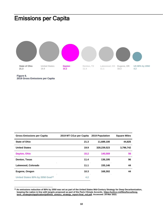# <span id="page-11-0"></span>Emissions per Capita



#### **Figure 6. 2019 Gross Emissions per Capita**

| <b>Gross Emissions per Capita</b>            | 2019 MT CO <sub>2</sub> e per Capita | 2019 Population | <b>Square Miles</b> |
|----------------------------------------------|--------------------------------------|-----------------|---------------------|
| <b>State of Ohio</b>                         | 21.3                                 | 11,689,100      | 44,825              |
| <b>United States</b>                         | 19.9                                 | 328,239,523     | 3,796,742           |
| Dayton, Ohio                                 | 15.2                                 | 140.569         | 56                  |
| Denton, Texas                                | 11.4                                 | 136,195         | 96                  |
| Lakewood, Colorado                           | 11.1                                 | 155,146         | 44                  |
| Eugene, Oregon                               | 10.3                                 | 168,302         | 44                  |
| United States 80% by 2050 Goal <sup>16</sup> | 4.2                                  |                 |                     |

**<sup>16</sup> An emissions reduction of 80% by 2050 was set as part of the United States Mid-Century Strategy for Deep Decarbonization, keeping the nation in line with targets proposed as part of the Paris Climate Accords. [https://unfccc.int/files/focus/long](https://unfccc.int/files/focus/long-term_strategies/application/pdf/mid_century_strategy_report-final_red.pdf)[term\\_strategies/application/pdf/mid\\_century\\_strategy\\_report-final\\_red.pdf.](https://unfccc.int/files/focus/long-term_strategies/application/pdf/mid_century_strategy_report-final_red.pdf) Accessed: 29 Mar 2022.**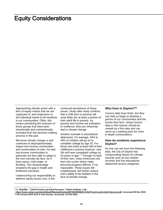# <span id="page-12-0"></span>Equity Considerations

Approaching climate action with a lens of equity means that we are cognizant of, and responsive to, the individual needs of all residents in our communities. Often, this means prioritizing the inclusion of those groups that have been intentionally and unintentionally excluded from the decision-making process in the past.

We know climate change is and continues to disproportionately impact low-income communities and communities of color. As well, low-income communities in particular are less able to adapt to the new normals we face, be it heat waves, cold snaps, or flooding. This disadvantage broadens the gap in health and livelihood outcomes.

Underscoring our responsibility to address equity issues now, is the

continued persistence of these issues. Study after study confirms that a child born in poverty will most likely live at least a portion of their adult life in poverty. As poverty and income are indicators of resilience, they are inherently tied to climate change.

Another example is educational attainment. On average, 34% to 40% of children will go on to complete college by age 25. For those who lived at least half of their childhood in poverty however, only 3% will have completed college by 25 years of age.<sup>17</sup> Through no fault of their own, many Americans are born into cycles which make personal progress difficult, if not impossible. These issues left unaddressed, will further reduce one's ability to be resilient in the face of climate change.

#### **Who lives in Dayton? 18**

Census data have limits, but they can help us begin to develop a picture of our communities and the issues they face. Using Census data in this manner should be viewed as a first step and can serve as a starting point for more in-depth conversations.

#### **How do residents experience Dayton?**

As one can see from the following data, the City of Dayton has compounding factors for climate security such as low median incomes and low educational attainment across categories.

**<sup>17</sup> C. Ratcliffe. " Child Poverty and Adult Success." Urban Institute. Link:** 

**[https://www.urban.org/sites/default/files/publication/65766/2000369-Child-Poverty-and-Adult-Success.pdf.](https://www.urban.org/sites/default/files/publication/65766/2000369-Child-Poverty-and-Adult-Success.pdf) Accessed 08 Dec 2021. <sup>18</sup> US Census 2019 ACS 5-Year Survey. Accessed: 16 Feb 2022.**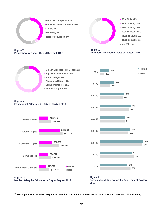

**Figure 7. Population by Race – City of Dayton 2019<sup>19</sup>**



**Figure 9. Educational Attainment – City of Dayton 2019**





#### **Figure 8. Population by Income – City of Dayton 2019**



**<sup>19</sup> Rest of population includes categories of less than one percent, those of two or more races, and those who did not identify.**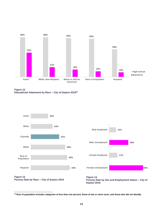

**Figure 12. Educational Attainment by Race – City of Dayton 2019<sup>20</sup>**







**<sup>20</sup> Rest of population includes categories of less than one percent, those of two or more races, and those who did not identify.**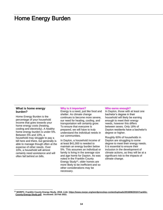## <span id="page-15-0"></span>Home Energy Burden

#### **What is home energy burden?**

Home Energy Burden is the percentage of your household income that goes towards your home energy costs (heating, cooling and electricity). A healthy home energy burden is under 5%. Between 5% and 10%, a household may struggle to pay a bill here and there, but generally is able to manage though often at the expense of other needs. Over 10%, a household will almost certainly need assistance and will often fall behind on bills.

#### **Why is it important?**

Energy is a need, just like food and shelter. As climate change continues to become more severe, our need for heating, cooling, and transportation will certainly grow. To ensure that everyone is prepared, we will have to truly understand the individual needs in our communities.

In Dayton, a household income of at least \$41,000 is needed to maintain an energy burden below 5%. This assumes an individual or family is living in the average size and age home for Dayton. As was noted in the Franklin County Energy Study<sup>21</sup> , older homes are more likely to be inefficient and so other considerations may be necessary.

#### **Who earns enough?**

In Dayton, those with at least one bachelor's degree in their household will likely be earning enough to meet their energy needs, however this differs between sexes. Only 18% of Dayton residents have a bachelor's degree or higher.

Roughly 60% of households in Dayton are struggling to some degree to meet their energy needs. It is essential to ensure their inclusion in the development of climate actions, as they will be at a significant risk to the impacts of climate change.

**<sup>21</sup> MORPC. Franklin County Energy Study. 2018. Link[: https://www.morpc.org/wordpress/wp-content/uploads/2018/06/2018-Franklin-](https://www.morpc.org/wordpress/wp-content/uploads/2018/06/2018-Franklin-County-Energy-Study.pdf)[County-Energy-Study.pdf.](https://www.morpc.org/wordpress/wp-content/uploads/2018/06/2018-Franklin-County-Energy-Study.pdf) Accessed: 16 Feb 2022.**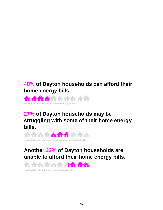### **40% of Dayton households can afford their home energy bills.**



**Households with less than 5% home energy burden**

## **27% of Dayton households may be struggling with some of their home energy bills.**



**Households with home energy burdens between 5% and 10%**

# **Another 33% of Dayton households are unable to afford their home energy bills.**



**Households with home energy burdens above 10%**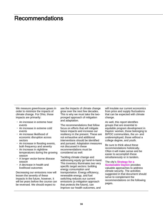## <span id="page-17-0"></span>Recommendations

We measure greenhouse gases in order to minimize the impacts of climate change. For Ohio, those impacts are primarily:

- An increase in extreme heat events
- An increase in extreme cold events
- **An increase likelihood of** economic disruption across sectors
- An increase in flooding events, both frequency and severity
- **An increase in nighttime** temperatures during the growing season
- A longer vector-borne disease season
- A decrease in health and livelihood outcomes

Decreasing our emissions now will lessen the severity of these impacts in the future, however, it will be years before the course can be reversed. We should expect to

see the impacts of climate change grow over the next few decades. This is why we must take the twopronged approach of mitigation and adaptation.

The recommendations that follow focus on efforts that will mitigate future impacts and increase our resiliency in the present. These are not exhaustive and additional interventions should be identified and pursued. Adaptation measures not discussed in these recommendations must be considered as well.

Tackling climate change and addressing equity go hand-in-hand. This inventory illuminates two very specific target sectors: building energy consumption and transportation. Energy efficiency, renewable energy, and fuel switching reduces our current emissions (a mitigation approach that protects the future), can improve our health outcomes, and

will insulate our current economics from price and supply fluctuations that can be expected with climate change.

As well, this report identifies groups that are essential to equitable program development in Dayton: women, those belonging to BIPOC communities, the un- and underemployed, those without a college degree, and youth.

Be sure to think about these recommendations holistically. Often it will make sense and be easier to accomplish these simultaneously or in tandem.

#### The city's **[Strategy for a](https://www.daytonohio.gov/DocumentCenter/View/9796/August-2020-Dayton-Sustainability-Strategy-Plan)**

**[Sustainable Dayton](https://www.daytonohio.gov/DocumentCenter/View/9796/August-2020-Dayton-Sustainability-Strategy-Plan)** provides valuable approaches to address climate security. The activities suggested in that document should serve to complement the recommendations on the following pages.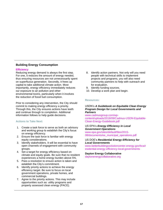#### **Building Energy Consumption**

#### **Efficiency**

Reducing energy demand is always the first step. For one, it reduces the amount of energy needed, thus ensuring resources are not unnecessarily spent on superfluous generation. Secondly, it frees up capital to take additional climate action. Most importantly, energy efficiency immediately reduces our exposure to air pollution and other environmental toxins, particularly when it involves the reduction of fossil fuel consumption.

Prior to considering any intervention, the City should commit to making energy efficiency a priority. Through this, the City ensures actions have teeth and continue through to completion. Additional information follows to help guide decisions.

#### **Actions to Take Next:**

- 1. Create a task force to serve as both an advisory and working group to establish the City's focus on energy efficiency.
- 2. Ensure the task force is familiar with energy equity considerations.
- 3. Identify stakeholders. It will be essential to have open channels of engagement with community groups.
- 4. Set a target for energy efficiency based on climate and equity goals. Be sure that no resident experiences a home energy burden above 5%.
- 5. Pass a resolution to ensure action is taken and establish the City's commitment.
- 6. Identify priority actions to achieve the energy efficiency target. Be sure to focus on local government operations, private homes, and commercial buildings.
- 7. Agree to the priority actions. This may include opportunities such as: utility programs and property assessed clean energy (PACE).
- 8. Identify action partners. Not only will you need people with technical skills to implement projects and programs, you will also need community partners to help with outreach and for evaluation.
- 9. Identify funding sources.
- 10. Develop a work plan and begin.

#### **Resources:**

#### USDN's *A Guidebook on Equitable Clean Energy Program Design for Local Governments and Partners*

[www.cadmusgroup.com/wp](http://www.cadmusgroup.com/wp-content/uploads/2018/09/Cadmus-USDN-Equitable-Clean-Energy-Guidebook.pdf)[content/uploads/2018/09/Cadmus-USDN-Equitable-](http://www.cadmusgroup.com/wp-content/uploads/2018/09/Cadmus-USDN-Equitable-Clean-Energy-Guidebook.pdf)[Clean-Energy-Guidebook.pdf](http://www.cadmusgroup.com/wp-content/uploads/2018/09/Cadmus-USDN-Equitable-Clean-Energy-Guidebook.pdf)

#### US EPA's *Energy Efficiency in Local Government Operations*

[www.epa.gov/sites/default/files/2015-](http://www.epa.gov/sites/default/files/2015-08/documents/ee_municipal_operations.pdf) [08/documents/ee\\_municipal\\_operations.pdf](http://www.epa.gov/sites/default/files/2015-08/documents/ee_municipal_operations.pdf)

#### US DOE's *Residential Energy Efficiency for Local Governments*

[www.betterbuildingssolutioncenter.energy.gov/bca/r](http://www.betterbuildingssolutioncenter.energy.gov/bca/residential-energy-efficiency-local-governments) [esidential-energy-efficiency-local-governments](http://www.betterbuildingssolutioncenter.energy.gov/bca/residential-energy-efficiency-local-governments)

#### **Dayton Energy Collaborative**

[daytonenergycollaborative.org](http://www.daytonenergycollaborative.org/)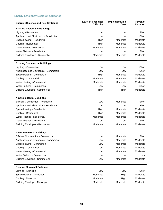#### **Energy Efficiency Decision Guidance**

| <b>Energy Efficiency and Fuel Switching</b> | <b>Level of Technical</b><br><b>Difficulty</b> | Implementation<br>Cost | Payback<br><b>Duration</b> |
|---------------------------------------------|------------------------------------------------|------------------------|----------------------------|
| <b>Existing Residential Buildings</b>       |                                                |                        |                            |
| Lighting - Residential                      | Low                                            | Low                    | Short                      |
| Appliance and Electronics - Residential     | Low                                            | Low                    | Short                      |
| Space Heating - Residential                 | High                                           | Moderate               | Moderate                   |
| Cooling - Residential                       | High                                           | Moderate               | Moderate                   |
| Water Heating - Residential                 | Moderate                                       | Moderate               | Moderate                   |
| <b>Water Fixtures - Residential</b>         | Low                                            | Low                    | Short                      |
| <b>Building Envelopes - Residential</b>     | Moderate                                       | Moderate               | Moderate                   |
| <b>Existing Commercial Buildings</b>        |                                                |                        |                            |
| Lighting - Commercial                       | Low                                            | Low                    | Short                      |
| Appliances and Electronics - Commercial     | Low                                            | Low                    | Short                      |
| Space Heating - Commercial                  | High                                           | Moderate               | Moderate                   |
| Cooling - Commercial                        | Moderate                                       | Moderate               | Moderate                   |
| Water Heating - Commercial                  | Moderate                                       | Moderate               | Moderate                   |
| Water Fixtures - Commercial                 | Low                                            | Low                    | Short                      |
| <b>Building Envelope - Commercial</b>       | High                                           | High                   | Moderate                   |
| <b>New Residential Buildings</b>            |                                                |                        |                            |
| <b>Efficient Construction - Residential</b> | Low                                            | Moderate               | Short                      |
| Appliance and Electronics - Residential     | Low                                            | Low                    | Short                      |
| Space Heating - Residential                 | High                                           | Moderate               | Moderate                   |
| Cooling - Residential                       | High                                           | Moderate               | Moderate                   |
| Water Heating - Residential                 | Moderate                                       | Moderate               | Moderate                   |
| <b>Water Fixtures - Residential</b>         | Low                                            | Low                    | Short                      |
| <b>Building Envelopes - Residential</b>     | Moderate                                       | Moderate               | Moderate                   |
| <b>New Commercial Buildings</b>             |                                                |                        |                            |
| <b>Efficient Construction - Commercial</b>  | Low                                            | Moderate               | Short                      |
| Appliances and Electronics - Commercial     | Low                                            | Moderate               | Moderate                   |
| Space Heating - Commercial                  | Low                                            | Moderate               | Moderate                   |
| Cooling - Commercial                        | Low                                            | Moderate               | Moderate                   |
| Water Heating - Commercial                  | Low                                            | Moderate               | Moderate                   |
| Water Fixtures - Commercial                 | Low                                            | Low                    | Low                        |
| <b>Building Envelope - Commercial</b>       | Low                                            | Moderate               | Moderate                   |
| <b>Existing Municipal Buildings</b>         |                                                |                        |                            |
| Lighting - Municipal                        | Low                                            | Low                    | Short                      |
| Space Heating - Municipal                   | Moderate                                       | High                   | Moderate                   |
| Cooling - Municipal                         | Moderate                                       | High                   | Moderate                   |
| <b>Building Envelope - Municipal</b>        | Moderate                                       | Moderate               | Moderate                   |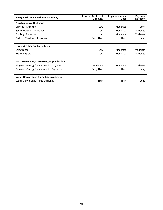| <b>Energy Efficiency and Fuel Switching</b>     | <b>Level of Technical</b><br><b>Difficulty</b> | Implementation<br>Cost | <b>Payback</b><br><b>Duration</b> |
|-------------------------------------------------|------------------------------------------------|------------------------|-----------------------------------|
| <b>New Municipal Buildings</b>                  |                                                |                        |                                   |
| Lighting - Municipal                            | Low                                            | Moderate               | Short                             |
| Space Heating - Municipal                       | Low                                            | Moderate               | Moderate                          |
| Cooling - Municipal                             | Low                                            | Moderate               | Moderate                          |
| <b>Building Envelope - Municipal</b>            | Very High                                      | High                   | Long                              |
|                                                 |                                                |                        |                                   |
| <b>Street &amp; Other Public Lighting</b>       |                                                |                        |                                   |
| Streetlights                                    | Low                                            | Moderate               | Moderate                          |
| <b>Traffic Signals</b>                          | Low                                            | Moderate               | Moderate                          |
|                                                 |                                                |                        |                                   |
| <b>Wastewater Biogas-to-Energy Optimization</b> |                                                |                        |                                   |
| Biogas-to-Energy from Anaerobic Lagoons         | Moderate                                       | Moderate               | Moderate                          |
| Biogas-to-Energy from Anaerobic Digesters       | Very High                                      | High                   | Long                              |
|                                                 |                                                |                        |                                   |
| <b>Water Conveyance Pump Improvements</b>       |                                                |                        |                                   |
| Water Conveyance Pump Efficiency                | High                                           | High                   | Long                              |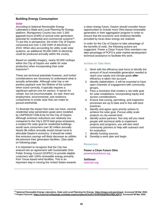#### **Building Energy Consumption**

#### **Solar**

According to National Renewable Energy Laboratory's State and Local Planning for Energy platform, Montgomery County has over 2,300 gigawatt hours (GWh) of annual solar generation potential for residential and commercial systems<sup>22</sup>. To put this in perspective, the entire City of Dayton consumed just over 2,100 GWh of electricity in 2019. When also accounting for utility scale solar systems, an additional 30,000 GWh of electricity could be produced annually within the county.

Based on satellite imagery, nearly 50,000 rooftops within the City of Dayton are viable for solar production when incorporating their solar exposure<sup>23</sup>.

These are technical potentials however, and further considerations are necessary to understand what is actually achievable. Although solar has a netpositive payback over the lifetime of the system when sized correctly, it typically requires a significant upfront cost for owners. A barrier for certain, but not insurmountable. As well, there are employment, environmental, and resilience components to onsite solar that can make its pursuit worthwhile.

To illustrate the impact that solar can have, several residential solar penetration goals were modeled by UNPREDICTABLEcity for the City of Dayton. Although emission reductions are relatively low compared to the City's 2019 total gross emissions, a modest 5% solar goal for residential buildings would save consumers over \$2 million annually. Nearly \$6 million annually would remain local to stimulate Dayton's economy. It should be noted that emission savings will likely decrease as utilities decarbonize their generation facilities. (See table on following page.

It is important to recognize that the City has entered into an agreement with Sustainable Ohio Public Energy Council (SOPEC) to provide eligible customers with 100% renewable energy primarily from Texas-based wind facilities. This is an important step in moving the United States towards a clean energy future. Dayton should consider future opportunities to include more Ohio-based renewable generation in their aggregation program in order to ensure that the economic and resilience benefits provided by local clean energy are realized.

In order for the City of Dayton to take advantage of the benefits of solar, the following actions are suggested. Power a Clean Future Ohio members can take advantage of PCFO's solar market development technical assistance to facilitate this work.

#### **Actions to Take Next:**

- 1. Work with the efficiency task force to identify the amount of local renewable generation needed to reach your equity and climate goals *after* efficiency is taken into account.
- 2. Identify stakeholders. It will be essential to have open channels of engagement with community groups.
- 3. Pass a resolution that creates a city-wide goal for solar installations, incorporating equity and access considerations.
- 4. Ensure that zoning, permitting, and inspection processes are up to date and in line with best practices.
- 5. Identify and agree upon priority actions to achieve the solar goal. Pursue utility scale projects on city-owned land.
- 6. Identify action partners. Not only will you need people with technical skills to implement projects and programs, you will also need community partners to help with outreach and for evaluation.
- 7. Identify funding sources.
- 8. Develop a work plan and begin.

#### **Resources:**

#### **Power a Clean Future Ohio** [poweracleanfuture.org](http://www.poweracleanfuture.org/)

#### **SolSmart** [solsmart.org](http://www.solsmart.org/)

**<sup>22</sup> National Renewable Energy Laboratory, State and Local Planning for Energy. [https://maps.nrel.gov/slope/.](https://maps.nrel.gov/slope/) Accessed 08 Mar 2022.** 

**<sup>23</sup> Project Sunroof[. https://sunroof.withgoogle.com/data-explorer/place/ChIJAxTdrtWAQIgR5EwO8pLjQKY/.](https://sunroof.withgoogle.com/data-explorer/place/ChIJAxTdrtWAQIgR5EwO8pLjQKY/) Accessed 08 Mar 2022.**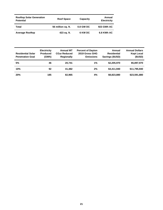| <b>Rooftop Solar Generation</b><br><b>Potential</b> | <b>Roof Space</b>  | Capacity  | Annual<br><b>Electricity</b> |
|-----------------------------------------------------|--------------------|-----------|------------------------------|
| Total                                               | 56 million sq. ft. | 0.8 GW DC | 923 GWh AC                   |
| <b>Average Rooftop</b>                              | 423 sq. ft.        | 6 KW DC   | 6.8 KWh AC                   |

| <b>Residential Solar</b><br><b>Penetration Goal</b> | <b>Electricity</b><br><b>Produced</b><br>(GWh) | <b>Annual MT</b><br>CO <sub>2</sub> e Reduced<br><b>Regionally</b> | <b>Percent of Dayton</b><br>2019 Gross GHG<br><b>Emissions</b> | Annual<br><b>Residential</b><br>Savings (\$USD) | <b>Annual Dollars</b><br><b>Kept Local</b><br>(SUSD) |
|-----------------------------------------------------|------------------------------------------------|--------------------------------------------------------------------|----------------------------------------------------------------|-------------------------------------------------|------------------------------------------------------|
| 5%                                                  | 46                                             | 20.741                                                             | 1%                                                             | \$2,205,970                                     | \$5,897,970                                          |
| 10%                                                 | 92                                             | 41.482                                                             | 2%                                                             | \$4.411.940                                     | \$11,795,940                                         |
| 20%                                                 | 185                                            | 82,965                                                             | 4%                                                             | \$8,823,880                                     | \$23,591,880                                         |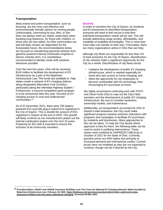#### **Transportation**

Mass transit and active transportation, such as bicycling, are the most cost-effective and environmentally friendly options for moving people. Unfortunately, commuting by bus, bike, or foot does not always meet our needs, particularly when traveling long distances, for those with children, or those who are less abled. As Ohio communities are and will likely remain car-dependent for the foreseeable future, the recommendations below are focused on transitioning personal vehicles from gasoline powered internal combustion engines to electric vehicles (EV). It is nonetheless recommended to identify mode-shift solutions whenever possible.

Over the next five years, Ohio will be receiving \$140 million to facilitate the development of EV infrastructure as a part of the Bipartisan Infrastructure Law. The funds are available to "help states create a network of EV charging stations along designated Alternative Fuel Corridors, particularly along the Interstate Highway System." Furthermore, a second competitive grant program is to be announced later this year, focused on EV charging access in rural and underserved communities. 24

As of 31 December 2021, there were 785 batterypowered EVs and 506 plug-in hybrid EVs registered in the City of Dayton. This is double the amount of EVs registered in Dayton at the end of 2020. This growth will likely continue as car manufacturers phase out the internal combustion engine over the next 15 years. Preparing for this shift is essential to ensure the inclusion of all community members.

#### **Electrify**

In order to transition the City of Dayton, its residents and its businesses to electrified transportation, everyone will need to feel secure in that their individual transportation needs will be met. This will include addressing range anxiety, affordability, and suitability of available technologies. This is more than most cities can handle on their own. Fortunately, there are many organizations active in Ohio that can help.

Although city fleets are responsible for less than 1% of total emissions for the City of Dayton, electrification of city vehicles holds a significant opportunity for the City as a whole. Electrification of city fleets would:

- Catalyze the development of public EV charging infrastructure, which is needed especially for those who lack access to home charging, and
- Allow the opportunity for city employees to become comfortable with the technology, thus encouraging EV purchases at home.

We highly recommend continuing work with PCFO and Clean Fuels Ohio to map out the City's fleet transition and the development of public EV charging infrastructure. Be sure to consider aesthetics, ownership models, and maintenance.

Additionally, as transportation accounted for 24% of Dayton's total emissions, the City could make significant progress towards emission reductions with programs and campaigns to facilitate EV purchases by residents and businesses. Many approaches to this can be taken. To help the City decide which approach is best for them, the following table can be used to assist in justifying interventions. These values were modeled by UNPREDICTABLEcity in October of 2021 for the State of Ohio. Currently, gasoline prices are 50% higher due primarily to increased demand and international conflict. Current prices were not modeled as they are not expected to continue, though can be if desired by the City.

**<sup>24</sup> President Biden, USDOT and USDOE Announce \$5 Billion over Five Years for National EV Charging Network, Made Possible by Bipartisan Infrastructure Law. February 10, 2022[. https://highways.dot.gov/newsroom/president-biden-usdot-and-usdoe](https://highways.dot.gov/newsroom/president-biden-usdot-and-usdoe-announce-5-billion-over-five-years-national-ev-charging)[announce-5-billion-over-five-years-national-ev-charging.](https://highways.dot.gov/newsroom/president-biden-usdot-and-usdoe-announce-5-billion-over-five-years-national-ev-charging) Accessed 08 Mar 2022.**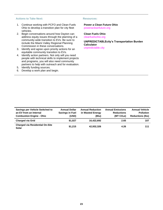#### **Actions to Take Next:**

- 1. Continue working with PCFO and Clean Fuels Ohio to develop a transition plan for city fleet vehicles.
- 2. Begin conversations around how Dayton can address equity issues through the planning of a community-wide transition to EVs. Be sure to include the Miami Valley Regional Planning Commission in these conversations.
- 3. Identify and agree upon priority actions for an equitable community transition to EVs.
- 4. Identify action partners. Not only will you need people with technical skills to implement projects and programs, you will also need community partners to help with outreach and for evaluation.
- 5. Identify funding sources.
- 6. Develop a work plan and begin.

#### **Resources:**

**Power a Clean Future Ohio** [poweracleanfuture.org](http://www.poweracleanfuture.org/)

**Clean Fuels Ohio** [cleanfuelsohio.org](https://cleanfuelsohio.org/)

**UNPREDICTABLEcity's Transportation Burden Calculator** [unpredictable.city](http://www.unpredictable.city/)

| <b>Savings per Vehicle Switched to</b><br>an EV from an Internal<br><b>Combustion Engine - Ohio</b> | <b>Annual Dollar</b><br><b>Savings in Fuel</b><br>(USD) | <b>Annual Reduction</b><br>in Wasted Energy<br>(Btu) | <b>Annual Emissions</b><br><b>Reductions</b><br>(MT CO <sub>2</sub> e) | <b>Annual Vehicle</b><br><b>Pollution</b><br><b>Reductions (lbs)</b> |
|-----------------------------------------------------------------------------------------------------|---------------------------------------------------------|------------------------------------------------------|------------------------------------------------------------------------|----------------------------------------------------------------------|
| <b>Charged via Grid</b>                                                                             | \$1.027                                                 | 16,422,692                                           | 2.65                                                                   | 107                                                                  |
| <b>Charged via Residential On-Site</b><br><b>Solar</b>                                              | \$1.215                                                 | 42,932,326                                           | 4.26                                                                   | 111                                                                  |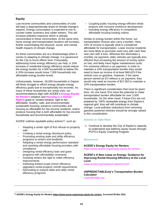#### **Equity**

Low-income communities and communities of color will bear a disproportionate share of climate change's impacts. Energy consumption is expected to rise to counter hotter summers and colder winters. This will increase pollution exposure which is already concentrated in these communities. At the same time, home energy and transportation burdens will increase, further exacerbating the physical, social, and mental health impacts of climate change.

As these communities are at a disadvantage when it comes to adapting to climate change, it is paramount for the City to focus efforts here. Fortunately, addressing home energy efficiency can help. A 10% increase in residential energy efficiency would reduce the energy burden for 4,000 households to below 5%. A 20% increase would move 7,000 households into affordable energy burden levels.

Unfortunately, however, 26,000 households in Dayton will likely struggle to afford energy despite energy efficiency goals due to exceptionally low incomes. As many of these households are rental units, our recommendations align with ACEEE's **[Energy Equity](https://www.aceee.org/energy-equity-for-renters)  [for Renters](https://www.aceee.org/energy-equity-for-renters)** initiative and **[Housing is a Human](https://www.housinghumanright.org/)  [Right](https://www.housinghumanright.org/)**'s goals to "protect tenants' right to fair, affordable, healthy, safe, and environmentally sustainable housing; preserve communities and housing as affordable for low-income residents; and/or produce housing that is both affordable for low-income households and environmentally sustainable."

ACEEE outlines equitable policy actions<sup>25</sup>, such as:

- Adopting a renter right of first refusal on property sale
- Creating a rental energy disclosure policy
- Promoting existing state and utility efficiency programs to renters and landlords
- Adopting a rental energy performance standard and assisting affordable housing providers with compliance
- Designing rental efficiency loan and grant programs with affordability covenants
- Granting renters the right to make efficiency improvements
- Instituting limited-scope (minor efficiency upgrades) rental property retrofit requirements
- Advocating to expand state and utility rental efficiency programs
- Coupling public housing energy-efficient rehab projects with inclusive workforce development
- Including energy efficiency in competitive affordable housing funding criteria

Similar to energy burden within the home, our transportation choices also carry a burden. Here, 10% of income is typically what is considered affordable for transportation. Lower income residents are more likely to purchase used cars with cash than new cars with a loan. Whereas this eliminates a monthly car payment, older vehicles are typically less efficient thus increasing the amount of money spent on fuel, and likely have higher maintenance costs. For someone without a car payment, in order to maintain a 10% transportation burden they would need to have an income of at least \$40,623 if the vehicle runs on gasoline. However, if the same person owned an EV without a car payment, they would only need an income of \$27,953 to maintain a 10% transportation burden.

There is significant consideration that must be given here. On one hand, EVs have the potential to make transportation burden affordable for over 3,500 households. On the other hand, if these EVs are not powered by 100% renewable energy from Dayton's regional grid, they will still contribute to climate change. Local pollution reductions from removing gasoline powered vehicles should be strongly valued in this consideration.

#### **Actions to Take Next:**

1. Continue to develop the City of Dayton's capacity to understand and address equity issues through PCFO's Equity Coaching Program.

#### **Resources:**

**ACEEE's Energy Equity for Renters**  https://www.aceee.org/energy-equity-for-renters

#### **ACEEE's A New Lease on Energy: Guidance for Improving Rental Housing Efficiency at the Local Level**

[www.aceee.org/research-report/u2102](file:///C:/Users/jpdav_diyyhwm/Desktop/PCFO%20GHG%202021/Dayton/Report/www.aceee.org/research-report/u2102)

#### **UNPREDICTABLEcity's Transportation Burden Calculator**  [unpredictable.city](http://www.unpredictable.city/)

**<sup>25</sup> ACEEE's Energy Equity for Renters [https://www.aceee.org/energy-equity-for-renters.](https://www.aceee.org/energy-equity-for-renters) Accessed 08 Mar 2022.**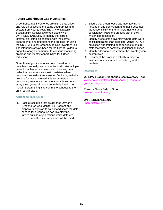#### **Future Greenhouse Gas Inventories**

Greenhouse gas inventories are highly data driven and rely on assessing the same geographies and sectors from year to year. The City of Dayton's Sustainability Specialist worked closely with UNPREDICTABLEcity to identify the correct information, establish contacts with the correct departments, and understand the process for using the US EPA's Local Greenhouse Gas Inventory Tool. The intent has always been for the City of Dayton to bring this analysis "in house" to continue monitoring progress and identify opportunities for further reductions.

Greenhouse gas inventories do not need to be completed annually, as most actions will take multiple years to implement and evaluate. However, data collection processes are most consistent when conducted annually, thus ensuring familiarity with the process for those involved. It is recommended to conduct a greenhouse gas inventory at least once every three years, although annually is ideal. The most important thing is to commit to conducting them on a regular basis.

#### **Actions to Take Next:**

- 1. Pass a resolution that establishes Dayton's Greenhouse Gas Monitoring Program and empowers city staff to collect and share the data needed for greenhouse gas inventorying.
- 2. Inform outside organizations which data are needed and the timeframes that will be used.
- 3. Ensure that greenhouse gas inventorying is housed in one department and that it becomes the responsibility of the analyst, thus ensuring consistency. Make the process part of their written job description.
- 4. Identify areas of the inventory where data were calculated rather than collected. Utilize PCFO's education and training opportunities to ensure staff know how to complete additional analyses.
- 5. Identify additional areas where the inventory can be improved.
- 6. Document the process explicitly in order to ensure continuation and consistency of the analysis.

#### **Resources:**

**US EPA's Local Greenhouse Gas Inventory Tool** [www.epa.gov/statelocalenergy/local-greenhouse](http://www.epa.gov/statelocalenergy/local-greenhouse-gas-inventory-tool)[gas-inventory-tool](http://www.epa.gov/statelocalenergy/local-greenhouse-gas-inventory-tool)

**Power a Clean Future Ohio** [poweracleanfuture.org](http://www.poweracleanfuture.org/)

#### **UNPREDICTABLEcity**  [unpredictable.city](http://www.unpredictable.city/)

**25**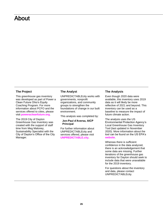### <span id="page-27-0"></span>About

#### **The Project**

This greenhouse gas inventory was developed as part of Power a Clean Future Ohio's Equity Coaching Program. For more information about PCFO and the services offered to cities, please visit **[poweracleanfuture.org](https://www.poweracleanfuture.org/)**.

The 2019 City of Dayton Greenhouse Gas Inventory was created with the support of staff time from Meg Maloney, Sustainability Specialist with the City of Dayton's Office of the City Manager.

#### **The Analyst**

UNPREDICTABLEcity works with governments, nonprofit organizations, and community groups to strengthen the foundations of change in our built environment.

This analysis was completed by:

#### **Jon-Paul d'Aversa, AICP Principal**

For further information about UNPREDICTABLEcity and services offered, please visit **[UNPREDICTABLE.city](http://www.unpredictable.city/)**.

#### **The Analysis**

Even though 2020 data were available, this inventory uses 2019 data as it will likely be more reflective of 2021 and beyond. This inventory can be used as a baseline to measure the impact of future climate action.

The analysis uses the US Environmental Protection Agency's Local Greenhouse Gas Inventory Tool (last updated in November 2020). More information about the tool can be found on the US EPA's **[website](https://www.epa.gov/statelocalenergy/local-greenhouse-gas-inventory-tool)**.

Whereas there is sufficient confidence in the data analyzed, there is an acknowledgement that some data are missing. Further iterations of the greenhouse gas inventory for Dayton should seek to include data that were unavailable for the 2019 inventory.

For questions about the inventory and data, please contact UNPREDICTABLEcity.